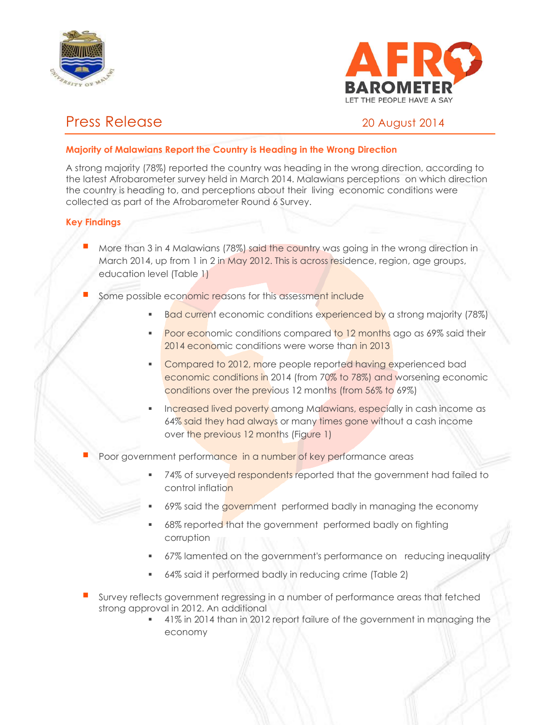



# Press Release 20 August 2014

# **Majority of Malawians Report the Country is Heading in the Wrong Direction**

A strong majority (78%) reported the country was heading in the wrong direction, according to the latest Afrobarometer survey held in March 2014. Malawians perceptions on which direction the country is heading to, and perceptions about their living economic conditions were collected as part of the Afrobarometer Round 6 Survey.

# **Key Findings**

- More than 3 in 4 Malawians (78%) said the country was going in the wrong direction in March 2014, up from 1 in 2 in May 2012. This is across residence, region, age groups, education level (Table 1)
- Some possible economic reasons for this assessment include
	- Bad current economic conditions experienced by a strong majority (78%)
	- Poor economic conditions compared to 12 months ago as 69% said their 2014 economic conditions were worse than in 2013
	- Compared to 2012, more people reported having experienced bad economic conditions in 2014 (from 70% to 78%) and worsening economic conditions over the previous 12 months (from 56% to 69%)
	- Increased lived poverty among Malawians, especially in cash income as 64% said they had always or many times gone without a cash income over the previous 12 months (Figure 1)
- Poor government performance in a number of key performance areas
	- 74% of surveyed respondents reported that the government had failed to control inflation
	- 69% said the government performed badly in managing the economy
	- 68% reported that the government performed badly on fighting corruption
	- 67% lamented on the government's performance on reducing inequality
	- 64% said it performed badly in reducing crime (Table 2)
- Survey reflects government regressing in a number of performance areas that fetched strong approval in 2012. An additional
	- 41% in 2014 than in 2012 report failure of the government in managing the economy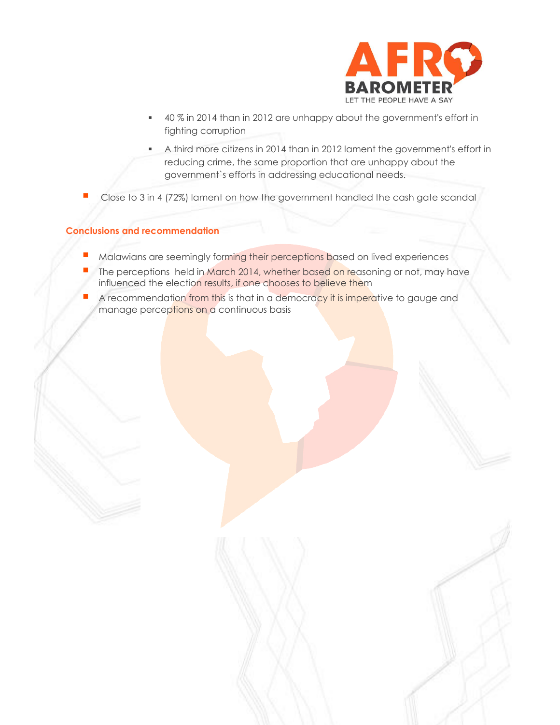

- 40 % in 2014 than in 2012 are unhappy about the government's effort in fighting corruption
- A third more citizens in 2014 than in 2012 lament the government's effort in reducing crime, the same proportion that are unhappy about the government`s efforts in addressing educational needs.
- Close to 3 in 4 (72%) lament on how the government handled the cash gate scandal

#### **Conclusions and recommendation**

- Malawians are seemingly forming their perceptions based on lived experiences
- The perceptions held in March 2014, whether based on reasoning or not, may have influenced the election results, if one chooses to believe them
- A recommendation from this is that in a democracy it is imperative to gauge and manage perceptions on a continuous basis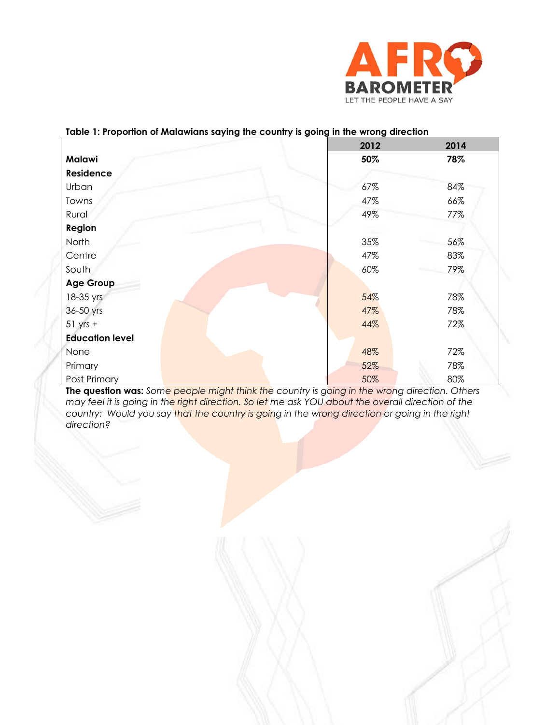

### **Table 1: Proportion of Malawians saying the country is going in the wrong direction**

|                        | 2012 | 2014 |
|------------------------|------|------|
| <b>Malawi</b>          | 50%  | 78%  |
| Residence              |      |      |
| Urban                  | 67%  | 84%  |
| Towns                  | 47%  | 66%  |
| Rural                  | 49%  | 77%  |
| Region                 |      |      |
| North                  | 35%  | 56%  |
| Centre                 | 47%  | 83%  |
| South                  | 60%  | 79%  |
| <b>Age Group</b>       |      |      |
| 18-35 yrs              | 54%  | 78%  |
| 36-50 yrs              | 47%  | 78%  |
| $51$ yrs +             | 44%  | 72%  |
| <b>Education level</b> |      |      |
| None                   | 48%  | 72%  |
| Primary                | 52%  | 78%  |
| Post Primary           | 50%  | 80%  |

**The question was:** *Some people might think the country is going in the wrong direction. Others may feel it is going in the right direction. So let me ask YOU about the overall direction of the country: Would you say that the country is going in the wrong direction or going in the right direction?*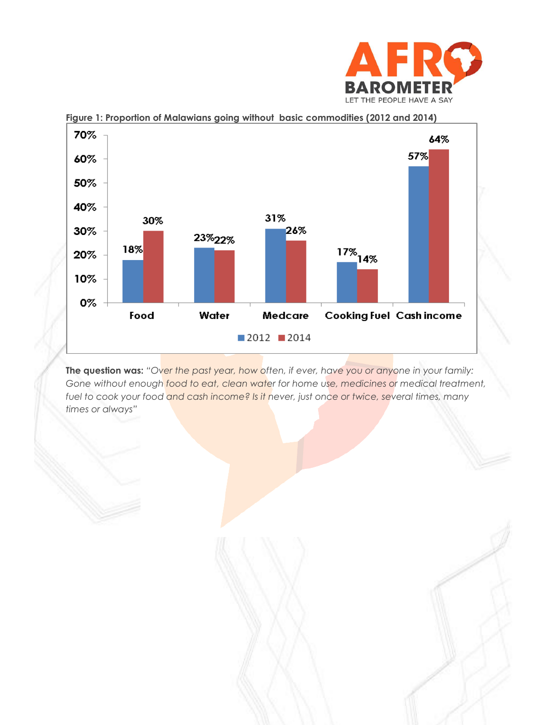



**Figure 1: Proportion of Malawians going without basic commodities (2012 and 2014)**

**The question was:** *"Over the past year, how often, if ever, have you or anyone in your family: Gone without enough food to eat, clean water for home use, medicines or medical treatment, fuel to cook your food and cash income? Is it never, just once or twice, several times, many times or always"*